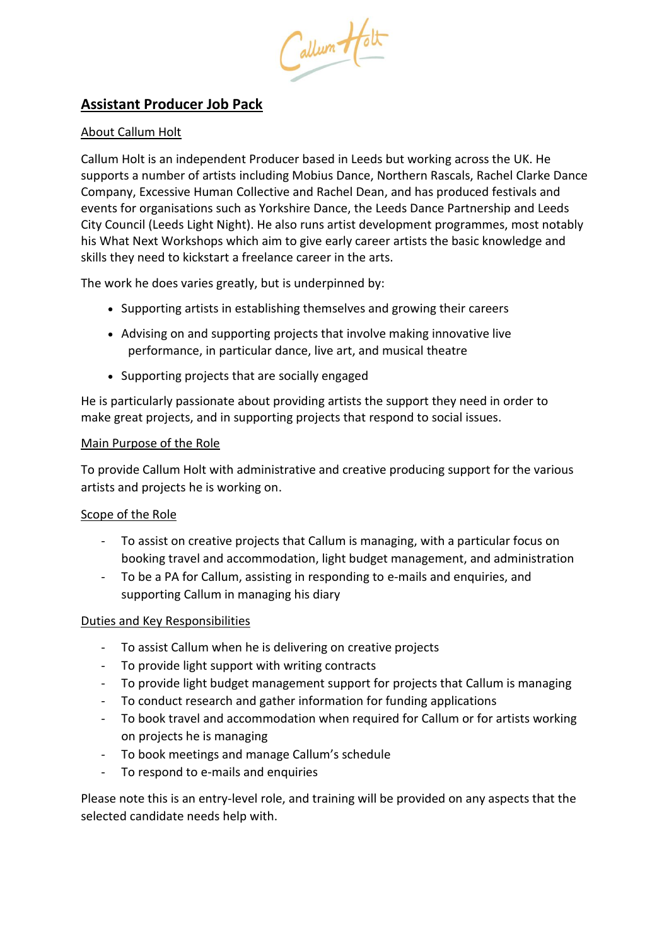Callum Holt

# **Assistant Producer Job Pack**

## About Callum Holt

Callum Holt is an independent Producer based in Leeds but working across the UK. He supports a number of artists including Mobius Dance, Northern Rascals, Rachel Clarke Dance Company, Excessive Human Collective and Rachel Dean, and has produced festivals and events for organisations such as Yorkshire Dance, the Leeds Dance Partnership and Leeds City Council (Leeds Light Night). He also runs artist development programmes, most notably his What Next Workshops which aim to give early career artists the basic knowledge and skills they need to kickstart a freelance career in the arts.

The work he does varies greatly, but is underpinned by:

- Supporting artists in establishing themselves and growing their careers
- Advising on and supporting projects that involve making innovative live performance, in particular dance, live art, and musical theatre
- Supporting projects that are socially engaged

He is particularly passionate about providing artists the support they need in order to make great projects, and in supporting projects that respond to social issues.

#### Main Purpose of the Role

To provide Callum Holt with administrative and creative producing support for the various artists and projects he is working on.

### Scope of the Role

- To assist on creative projects that Callum is managing, with a particular focus on booking travel and accommodation, light budget management, and administration
- To be a PA for Callum, assisting in responding to e-mails and enquiries, and supporting Callum in managing his diary

### Duties and Key Responsibilities

- To assist Callum when he is delivering on creative projects
- To provide light support with writing contracts
- To provide light budget management support for projects that Callum is managing
- To conduct research and gather information for funding applications
- To book travel and accommodation when required for Callum or for artists working on projects he is managing
- To book meetings and manage Callum's schedule
- To respond to e-mails and enquiries

Please note this is an entry-level role, and training will be provided on any aspects that the selected candidate needs help with.